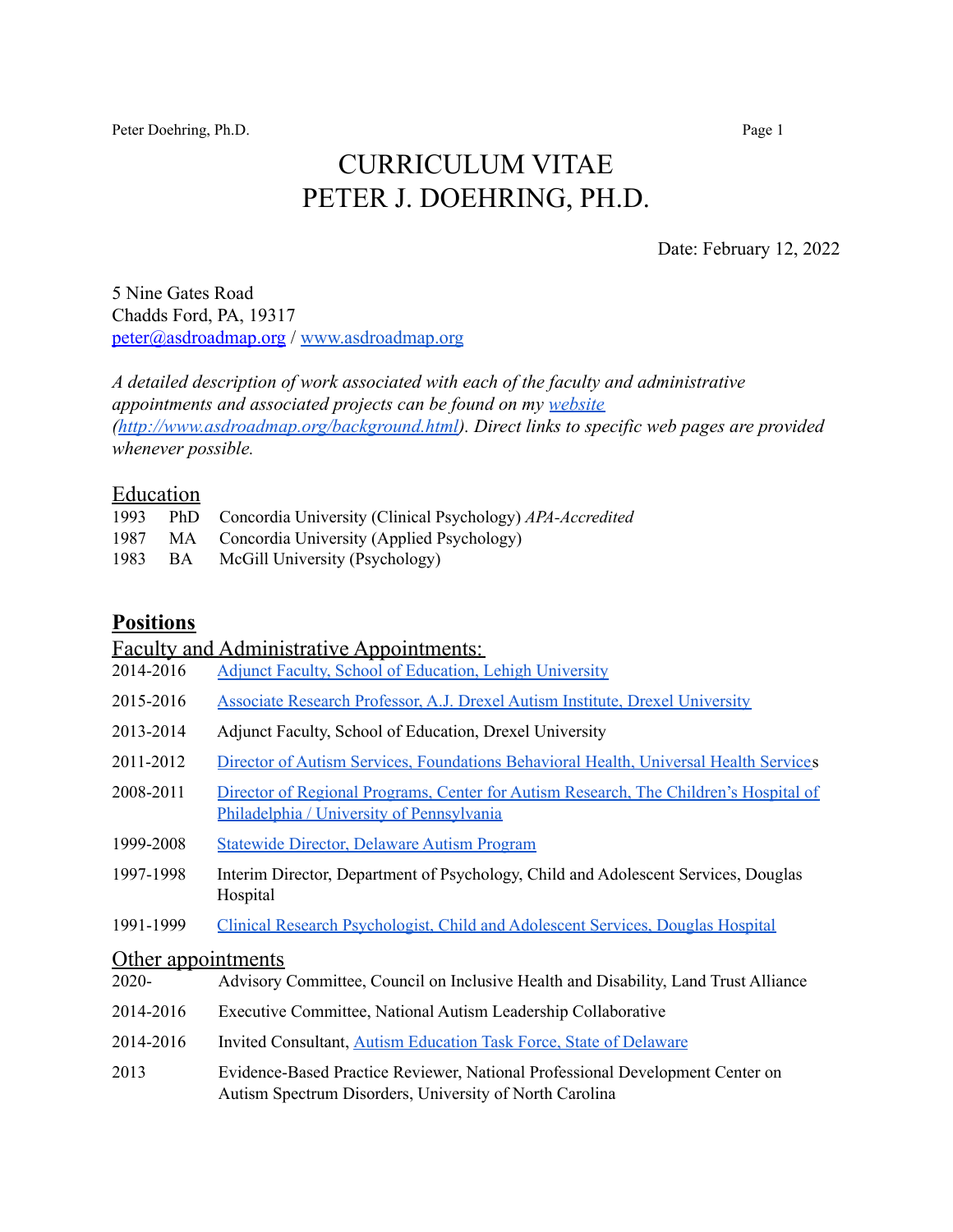Peter Doehring, Ph.D. Page 1

# CURRICULUM VITAE PETER J. DOEHRING, PH.D.

Date: February 12, 2022

5 Nine Gates Road Chadds Ford, PA, 19317 [peter@asdroadmap.org](mailto:peter@asdroadmap.org) / [www.asdroadmap.org](http://www.asdroadmap.org)

*A detailed description of work associated with each of the faculty and administrative appointments and associated projects can be found on my [website](http://www.asdroadmap.org/background.html) ([http://www.asdroadmap.org/background.html\)](http://www.asdroadmap.org/background.html). Direct links to specific web pages are provided whenever possible.*

#### Education

| 1993 | PhD Concordia University (Clinical Psychology) APA-Accredited |
|------|---------------------------------------------------------------|
|      | 1987 MA Concordia University (Applied Psychology)             |
|      | 1983 BA McGill University (Psychology)                        |

### **Positions**

#### Faculty and Administrative Appointments:

- 2014-2016 Adjunct Faculty, School of [Education,](http://www.asdroadmap.org/on-line-graduate-asd-seminar.html) Lehigh University
- 2015-2016 Associate Research Professor, A.J. Drexel Autism Institute, Drexel [University](http://www.asdroadmap.org/drexel-university.html)
- 2013-2014 Adjunct Faculty, School of Education, Drexel University
- 2011-2012 Director of Autism Services, [Foundations](http://www.asdroadmap.org/foundations-behavioral-health.html) Behavioral Health, Universal Health Services
- 2008-2011 Director of Regional Programs, Center for Autism Research, The [Children's](http://www.asdroadmap.org/children-s-hospital-of-philadelphia.html) Hospital of Philadelphia / University of [Pennsylvania](http://www.asdroadmap.org/children-s-hospital-of-philadelphia.html)
- 1999-2008 [Statewide](http://www.asdroadmap.org/delaware-autism-program.html) Director, Delaware Autism Program
- 1997-1998 Interim Director, Department of Psychology, Child and Adolescent Services, Douglas Hospital
- 1991-1999 Clinical Research [Psychologist,](http://www.asdroadmap.org/montreal.html) Child and Adolescent Services, Douglas Hospital

### Other appointments

| $2020 -$  | Advisory Committee, Council on Inclusive Health and Disability, Land Trust Alliance                                                      |
|-----------|------------------------------------------------------------------------------------------------------------------------------------------|
| 2014-2016 | Executive Committee, National Autism Leadership Collaborative                                                                            |
| 2014-2016 | Invited Consultant, Autism Education Task Force, State of Delaware                                                                       |
| 2013      | Evidence-Based Practice Reviewer, National Professional Development Center on<br>Autism Spectrum Disorders, University of North Carolina |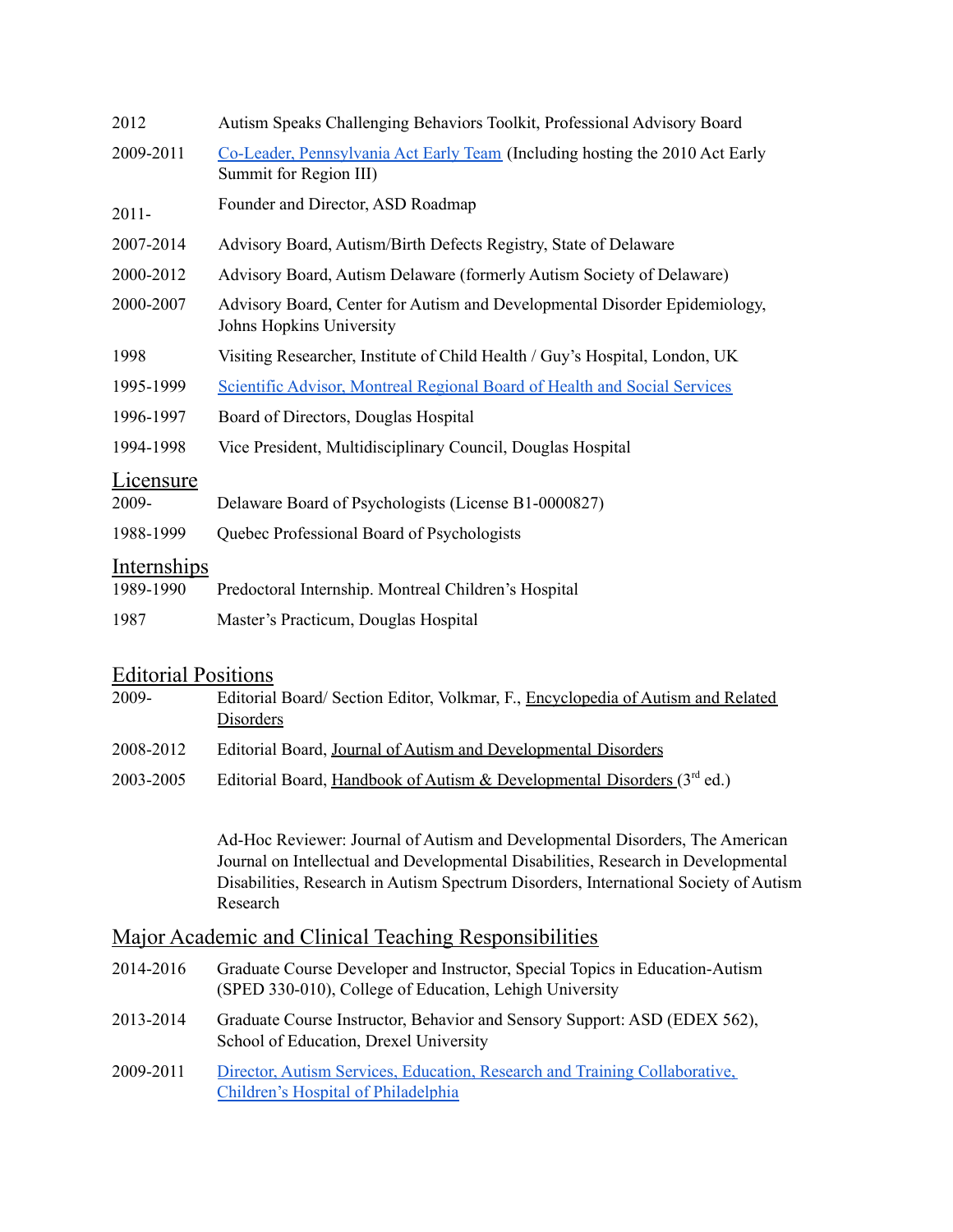| 2012                            | Autism Speaks Challenging Behaviors Toolkit, Professional Advisory Board                               |  |  |  |
|---------------------------------|--------------------------------------------------------------------------------------------------------|--|--|--|
| 2009-2011                       | Co-Leader, Pennsylvania Act Early Team (Including hosting the 2010 Act Early<br>Summit for Region III) |  |  |  |
| $2011 -$                        | Founder and Director, ASD Roadmap                                                                      |  |  |  |
| 2007-2014                       | Advisory Board, Autism/Birth Defects Registry, State of Delaware                                       |  |  |  |
| 2000-2012                       | Advisory Board, Autism Delaware (formerly Autism Society of Delaware)                                  |  |  |  |
| 2000-2007                       | Advisory Board, Center for Autism and Developmental Disorder Epidemiology,<br>Johns Hopkins University |  |  |  |
| 1998                            | Visiting Researcher, Institute of Child Health / Guy's Hospital, London, UK                            |  |  |  |
| 1995-1999                       | Scientific Advisor, Montreal Regional Board of Health and Social Services                              |  |  |  |
| 1996-1997                       | Board of Directors, Douglas Hospital                                                                   |  |  |  |
| 1994-1998                       | Vice President, Multidisciplinary Council, Douglas Hospital                                            |  |  |  |
| Licensure<br>2009-<br>1988-1999 | Delaware Board of Psychologists (License B1-0000827)<br>Quebec Professional Board of Psychologists     |  |  |  |
|                                 |                                                                                                        |  |  |  |
| <u>Internships</u><br>1989-1990 | Predoctoral Internship. Montreal Children's Hospital                                                   |  |  |  |
| 1987                            | Master's Practicum, Douglas Hospital                                                                   |  |  |  |
|                                 |                                                                                                        |  |  |  |

## Editorial Positions

| 2009-     | Editorial Board/Section Editor, Volkmar, F., Encyclopedia of Autism and Related<br>Disorders |
|-----------|----------------------------------------------------------------------------------------------|
| 2008-2012 | Editorial Board, Journal of Autism and Developmental Disorders                               |
| 2003-2005 | Editorial Board, Handbook of Autism & Developmental Disorders $(3rd$ ed.)                    |

Ad-Hoc Reviewer: Journal of Autism and Developmental Disorders, The American Journal on Intellectual and Developmental Disabilities, Research in Developmental Disabilities, Research in Autism Spectrum Disorders, International Society of Autism Research

## Major Academic and Clinical Teaching Responsibilities

| 2014-2016 | Graduate Course Developer and Instructor, Special Topics in Education-Autism<br>(SPED 330-010), College of Education, Lehigh University |
|-----------|-----------------------------------------------------------------------------------------------------------------------------------------|
| 2013-2014 | Graduate Course Instructor, Behavior and Sensory Support: ASD (EDEX 562),<br>School of Education, Drexel University                     |
| 2009-2011 | Director, Autism Services, Education, Research and Training Collaborative,<br>Children's Hospital of Philadelphia                       |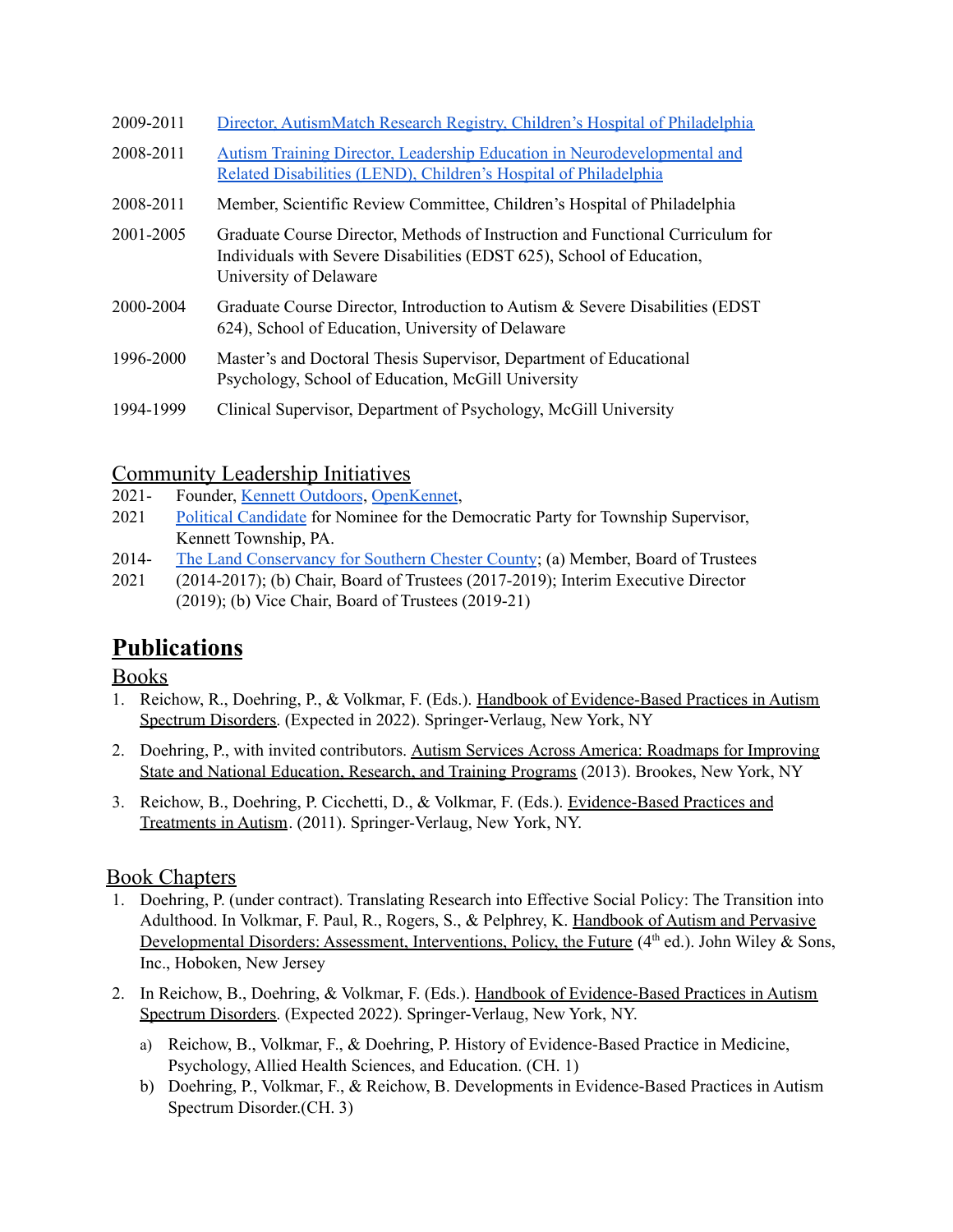| 2009-2011 | Director, AutismMatch Research Registry, Children's Hospital of Philadelphia                                                                                                      |
|-----------|-----------------------------------------------------------------------------------------------------------------------------------------------------------------------------------|
| 2008-2011 | Autism Training Director, Leadership Education in Neurodevelopmental and<br>Related Disabilities (LEND), Children's Hospital of Philadelphia                                      |
| 2008-2011 | Member, Scientific Review Committee, Children's Hospital of Philadelphia                                                                                                          |
| 2001-2005 | Graduate Course Director, Methods of Instruction and Functional Curriculum for<br>Individuals with Severe Disabilities (EDST 625), School of Education,<br>University of Delaware |
| 2000-2004 | Graduate Course Director, Introduction to Autism & Severe Disabilities (EDST)<br>624), School of Education, University of Delaware                                                |
| 1996-2000 | Master's and Doctoral Thesis Supervisor, Department of Educational<br>Psychology, School of Education, McGill University                                                          |
| 1994-1999 | Clinical Supervisor, Department of Psychology, McGill University                                                                                                                  |

## Community Leadership Initiatives

- 2021- Founder, Kennett [Outdoors](http://www.kennettoutdoors.org), [OpenKennet](http://www.openkennett.org),
- 2021 Political [Candidate](https://www.peter4supervisor.com/) for Nominee for the Democratic Party for Township Supervisor, Kennett Township, PA.
- 2014- The Land [Conservancy](http://tlcforscc.org/) for Southern Chester County; (a) Member, Board of Trustees
- 2021 (2014-2017); (b) Chair, Board of Trustees (2017-2019); Interim Executive Director (2019); (b) Vice Chair, Board of Trustees (2019-21)

# **Publications**

## Books

- 1. Reichow, R., Doehring, P., & Volkmar, F. (Eds.). Handbook of Evidence-Based Practices in Autism Spectrum Disorders. (Expected in 2022). Springer-Verlaug, New York, NY
- 2. Doehring, P., with invited contributors. Autism Services Across America: Roadmaps for Improving State and National Education, Research, and Training Programs (2013). Brookes, New York, NY
- 3. Reichow, B., Doehring, P. Cicchetti, D., & Volkmar, F. (Eds.). Evidence-Based Practices and Treatments in Autism. (2011). Springer-Verlaug, New York, NY.

## Book Chapters

- 1. Doehring, P. (under contract). Translating Research into Effective Social Policy: The Transition into Adulthood. In Volkmar, F. Paul, R., Rogers, S., & Pelphrey, K. Handbook of Autism and Pervasive Developmental Disorders: Assessment, Interventions, Policy, the Future (4<sup>th</sup> ed.). John Wiley & Sons, Inc., Hoboken, New Jersey
- 2. In Reichow, B., Doehring, & Volkmar, F. (Eds.). Handbook of Evidence-Based Practices in Autism Spectrum Disorders. (Expected 2022). Springer-Verlaug, New York, NY.
	- a) Reichow, B., Volkmar, F., & Doehring, P. History of Evidence-Based Practice in Medicine, Psychology, Allied Health Sciences, and Education. (CH. 1)
	- b) Doehring, P., Volkmar, F., & Reichow, B. Developments in Evidence-Based Practices in Autism Spectrum Disorder.(CH. 3)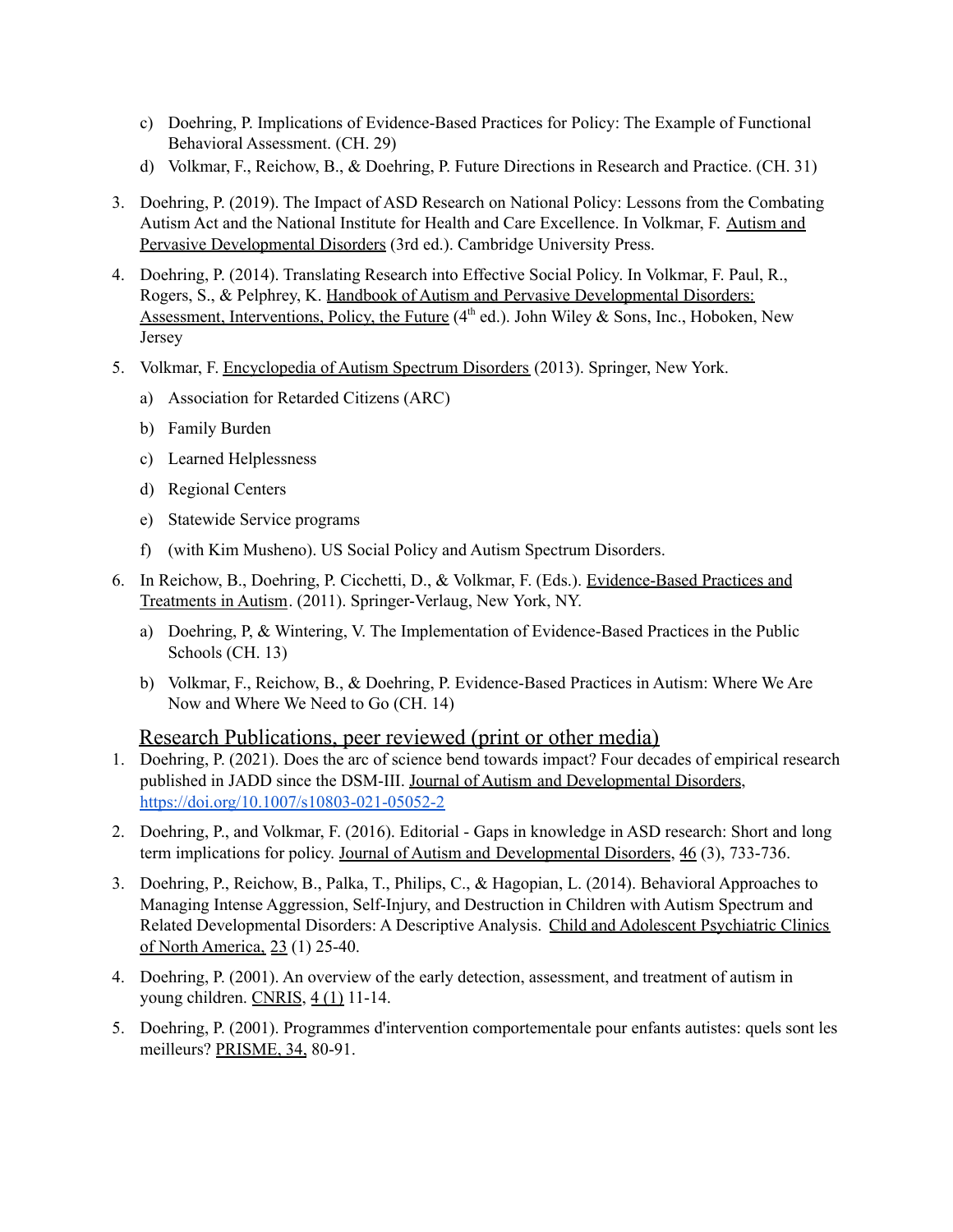- c) Doehring, P. Implications of Evidence-Based Practices for Policy: The Example of Functional Behavioral Assessment. (CH. 29)
- d) Volkmar, F., Reichow, B., & Doehring, P. Future Directions in Research and Practice. (CH. 31)
- 3. Doehring, P. (2019). The Impact of ASD Research on National Policy: Lessons from the Combating Autism Act and the National Institute for Health and Care Excellence. In Volkmar, F. Autism and Pervasive Developmental Disorders (3rd ed.). Cambridge University Press.
- 4. Doehring, P. (2014). Translating Research into Effective Social Policy. In Volkmar, F. Paul, R., Rogers, S., & Pelphrey, K. Handbook of Autism and Pervasive Developmental Disorders: Assessment, Interventions, Policy, the Future (4<sup>th</sup> ed.). John Wiley & Sons, Inc., Hoboken, New Jersey
- 5. Volkmar, F. Encyclopedia of Autism Spectrum Disorders (2013). Springer, New York.
	- a) Association for Retarded Citizens (ARC)
	- b) Family Burden
	- c) Learned Helplessness
	- d) Regional Centers
	- e) Statewide Service programs
	- f) (with Kim Musheno). US Social Policy and Autism Spectrum Disorders.
- 6. In Reichow, B., Doehring, P. Cicchetti, D., & Volkmar, F. (Eds.). Evidence-Based Practices and Treatments in Autism. (2011). Springer-Verlaug, New York, NY.
	- a) Doehring, P, & Wintering, V. The Implementation of Evidence-Based Practices in the Public Schools (CH. 13)
	- b) Volkmar, F., Reichow, B., & Doehring, P. Evidence-Based Practices in Autism: Where We Are Now and Where We Need to Go (CH. 14)

#### Research Publications, peer reviewed (print or other media)

- 1. Doehring, P. (2021). Does the arc of science bend towards impact? Four decades of empirical research published in JADD since the DSM-III. Journal of Autism and Developmental Disorders, <https://doi.org/10.1007/s10803-021-05052-2>
- 2. Doehring, P., and Volkmar, F. (2016). Editorial Gaps in knowledge in ASD research: Short and long term implications for policy. Journal of Autism and Developmental Disorders, 46 (3), 733-736.
- 3. Doehring, P., Reichow, B., Palka, T., Philips, C., & Hagopian, L. (2014). Behavioral Approaches to Managing Intense Aggression, Self-Injury, and Destruction in Children with Autism Spectrum and Related Developmental Disorders: A Descriptive Analysis. Child and Adolescent Psychiatric Clinics of North America, 23 (1) 25-40.
- 4. Doehring, P. (2001). An overview of the early detection, assessment, and treatment of autism in young children. CNRIS, 4 (1) 11-14.
- 5. Doehring, P. (2001). Programmes d'intervention comportementale pour enfants autistes: quels sont les meilleurs? PRISME, 34, 80-91.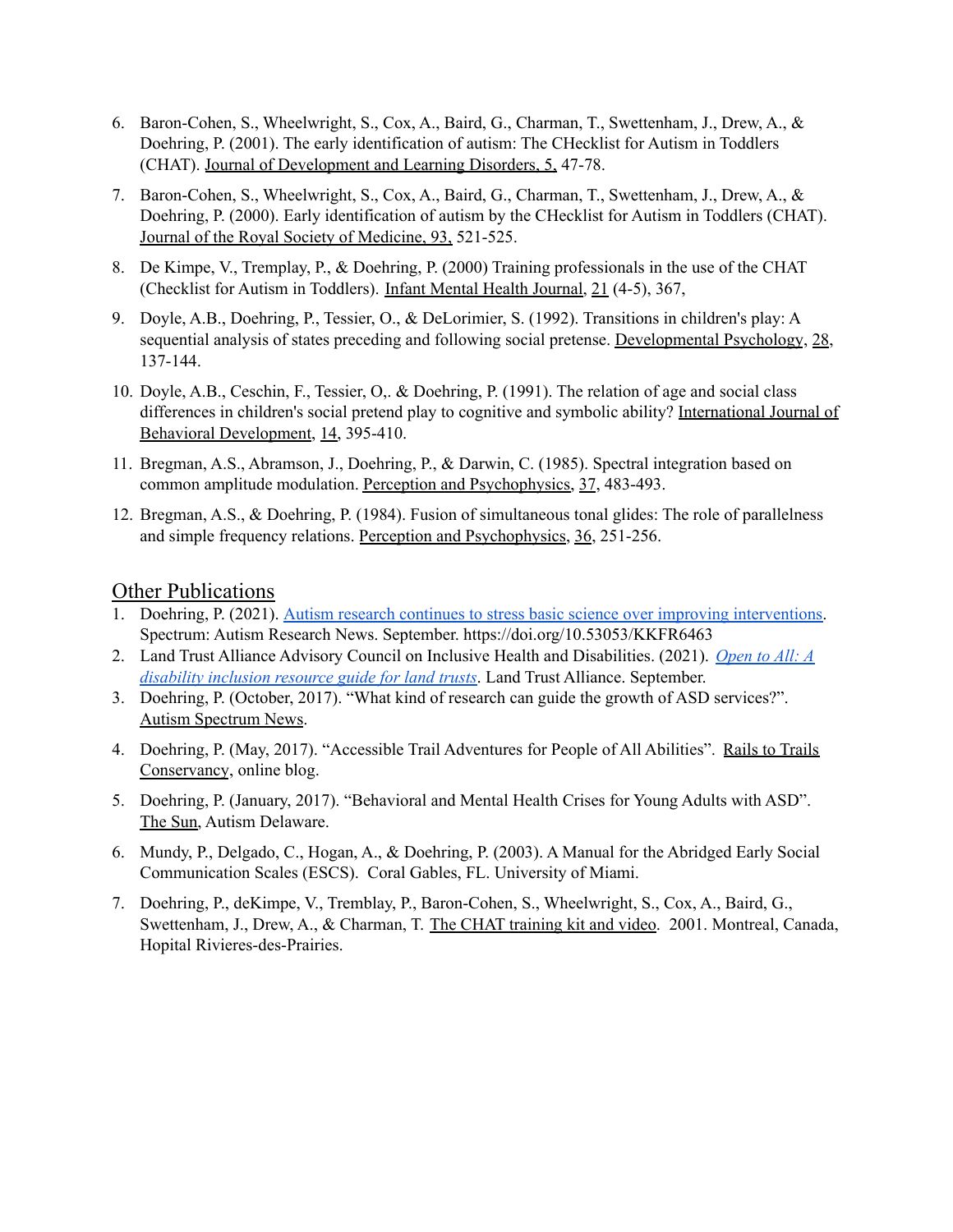- 6. Baron-Cohen, S., Wheelwright, S., Cox, A., Baird, G., Charman, T., Swettenham, J., Drew, A., & Doehring, P. (2001). The early identification of autism: The CHecklist for Autism in Toddlers (CHAT). Journal of Development and Learning Disorders, 5, 47-78.
- 7. Baron-Cohen, S., Wheelwright, S., Cox, A., Baird, G., Charman, T., Swettenham, J., Drew, A., & Doehring, P. (2000). Early identification of autism by the CHecklist for Autism in Toddlers (CHAT). Journal of the Royal Society of Medicine, 93, 521-525.
- 8. De Kimpe, V., Tremplay, P., & Doehring, P. (2000) Training professionals in the use of the CHAT (Checklist for Autism in Toddlers). Infant Mental Health Journal, 21 (4-5), 367,
- 9. Doyle, A.B., Doehring, P., Tessier, O., & DeLorimier, S. (1992). Transitions in children's play: A sequential analysis of states preceding and following social pretense. Developmental Psychology, 28, 137-144.
- 10. Doyle, A.B., Ceschin, F., Tessier, O,. & Doehring, P. (1991). The relation of age and social class differences in children's social pretend play to cognitive and symbolic ability? International Journal of Behavioral Development, 14, 395-410.
- 11. Bregman, A.S., Abramson, J., Doehring, P., & Darwin, C. (1985). Spectral integration based on common amplitude modulation. Perception and Psychophysics, 37, 483-493.
- 12. Bregman, A.S., & Doehring, P. (1984). Fusion of simultaneous tonal glides: The role of parallelness and simple frequency relations. Perception and Psychophysics, 36, 251-256.

#### Other Publications

- 1. Doehring, P. (2021). Autism research continues to stress basic science over improving [interventions.](https://www.spectrumnews.org/opinion/viewpoint/autism-research-continues-to-stress-basic-science-over-improving-interventions/) Spectrum: Autism Research News. September. https://doi.org/10.53053/KKFR6463
- 2. Land Trust Alliance Advisory Council on Inclusive Health and Disabilities. (2021). *[Open](https://s3.amazonaws.com/landtrustalliance.org/Open%20to%20All_Inclusion%20guide_Final%209-9-21-SMALLER%20wLOGO.pdf) to All: A [disability](https://s3.amazonaws.com/landtrustalliance.org/Open%20to%20All_Inclusion%20guide_Final%209-9-21-SMALLER%20wLOGO.pdf) inclusion resource guide for land trusts*. Land Trust Alliance. September.
- 3. Doehring, P. (October, 2017). "What kind of research can guide the growth of ASD services?". Autism Spectrum News.
- 4. Doehring, P. (May, 2017). "Accessible Trail Adventures for People of All Abilities". Rails to Trails Conservancy, online blog.
- 5. Doehring, P. (January, 2017). "Behavioral and Mental Health Crises for Young Adults with ASD". The Sun, Autism Delaware.
- 6. Mundy, P., Delgado, C., Hogan, A., & Doehring, P. (2003). A Manual for the Abridged Early Social Communication Scales (ESCS). Coral Gables, FL. University of Miami.
- 7. Doehring, P., deKimpe, V., Tremblay, P., Baron-Cohen, S., Wheelwright, S., Cox, A., Baird, G., Swettenham, J., Drew, A., & Charman, T. The CHAT training kit and video. 2001. Montreal, Canada, Hopital Rivieres-des-Prairies.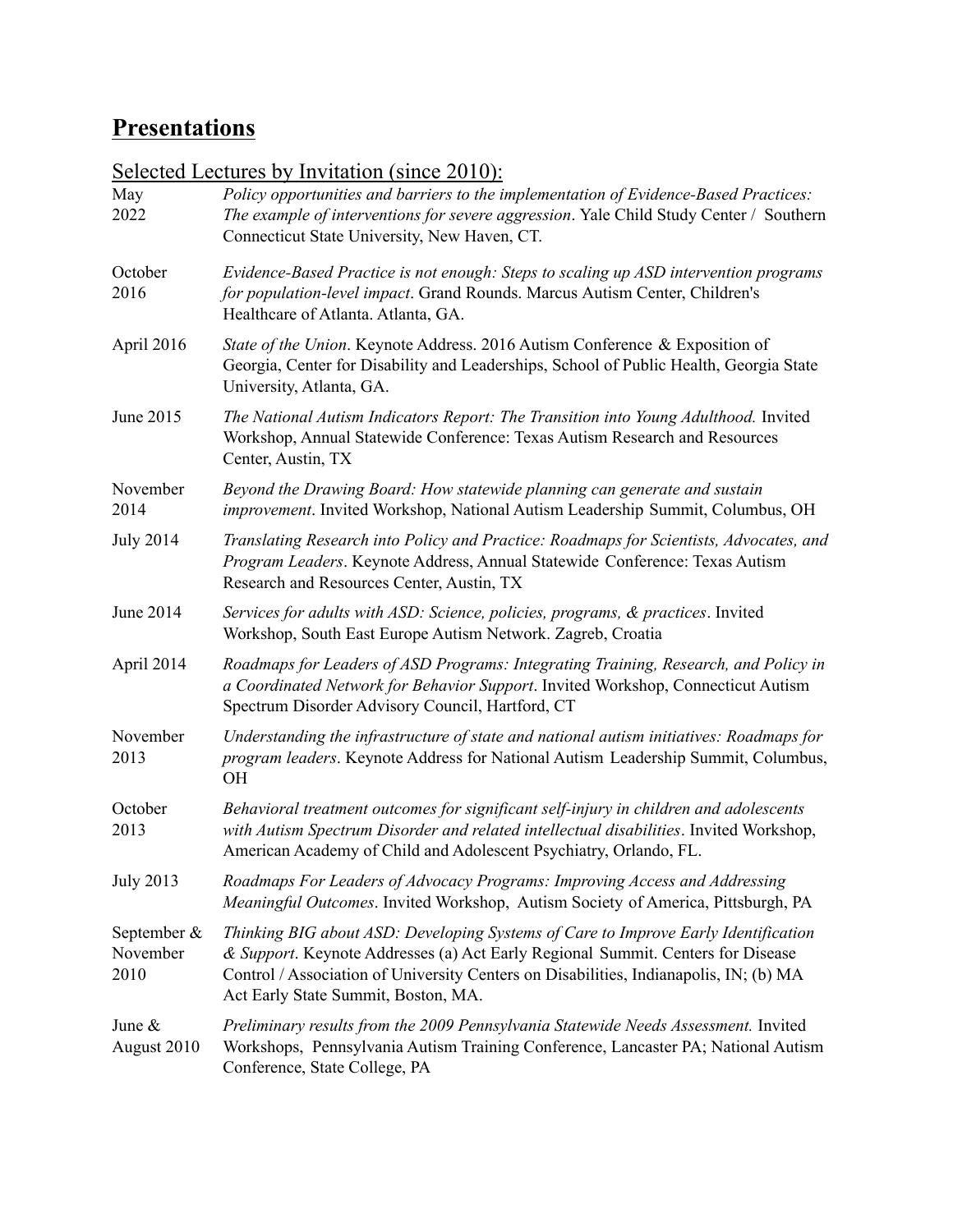# **Presentations**

|                                    | <u>Science Eccures by Invitation (Since 2010).</u>                                                                                                                                                                                                                                                    |  |  |
|------------------------------------|-------------------------------------------------------------------------------------------------------------------------------------------------------------------------------------------------------------------------------------------------------------------------------------------------------|--|--|
| May<br>2022                        | Policy opportunities and barriers to the implementation of Evidence-Based Practices:<br>The example of interventions for severe aggression. Yale Child Study Center / Southern<br>Connecticut State University, New Haven, CT.                                                                        |  |  |
| October<br>2016                    | Evidence-Based Practice is not enough: Steps to scaling up ASD intervention programs<br>for population-level impact. Grand Rounds. Marcus Autism Center, Children's<br>Healthcare of Atlanta. Atlanta, GA.                                                                                            |  |  |
| April 2016                         | State of the Union. Keynote Address. 2016 Autism Conference & Exposition of<br>Georgia, Center for Disability and Leaderships, School of Public Health, Georgia State<br>University, Atlanta, GA.                                                                                                     |  |  |
| June 2015                          | The National Autism Indicators Report: The Transition into Young Adulthood. Invited<br>Workshop, Annual Statewide Conference: Texas Autism Research and Resources<br>Center, Austin, TX                                                                                                               |  |  |
| November<br>2014                   | Beyond the Drawing Board: How statewide planning can generate and sustain<br>improvement. Invited Workshop, National Autism Leadership Summit, Columbus, OH                                                                                                                                           |  |  |
| <b>July 2014</b>                   | Translating Research into Policy and Practice: Roadmaps for Scientists, Advocates, and<br>Program Leaders. Keynote Address, Annual Statewide Conference: Texas Autism<br>Research and Resources Center, Austin, TX                                                                                    |  |  |
| June 2014                          | Services for adults with ASD: Science, policies, programs, & practices. Invited<br>Workshop, South East Europe Autism Network. Zagreb, Croatia                                                                                                                                                        |  |  |
| April 2014                         | Roadmaps for Leaders of ASD Programs: Integrating Training, Research, and Policy in<br>a Coordinated Network for Behavior Support. Invited Workshop, Connecticut Autism<br>Spectrum Disorder Advisory Council, Hartford, CT                                                                           |  |  |
| November<br>2013                   | Understanding the infrastructure of state and national autism initiatives: Roadmaps for<br>program leaders. Keynote Address for National Autism Leadership Summit, Columbus,<br><b>OH</b>                                                                                                             |  |  |
| October<br>2013                    | Behavioral treatment outcomes for significant self-injury in children and adolescents<br>with Autism Spectrum Disorder and related intellectual disabilities. Invited Workshop,<br>American Academy of Child and Adolescent Psychiatry, Orlando, FL.                                                  |  |  |
| <b>July 2013</b>                   | Roadmaps For Leaders of Advocacy Programs: Improving Access and Addressing<br>Meaningful Outcomes. Invited Workshop, Autism Society of America, Pittsburgh, PA                                                                                                                                        |  |  |
| September $\&$<br>November<br>2010 | Thinking BIG about ASD: Developing Systems of Care to Improve Early Identification<br>& Support. Keynote Addresses (a) Act Early Regional Summit. Centers for Disease<br>Control / Association of University Centers on Disabilities, Indianapolis, IN; (b) MA<br>Act Early State Summit, Boston, MA. |  |  |
| June $\&$<br>August 2010           | Preliminary results from the 2009 Pennsylvania Statewide Needs Assessment. Invited<br>Workshops, Pennsylvania Autism Training Conference, Lancaster PA; National Autism<br>Conference, State College, PA                                                                                              |  |  |

Selected Lectures by Invitation (since 2010):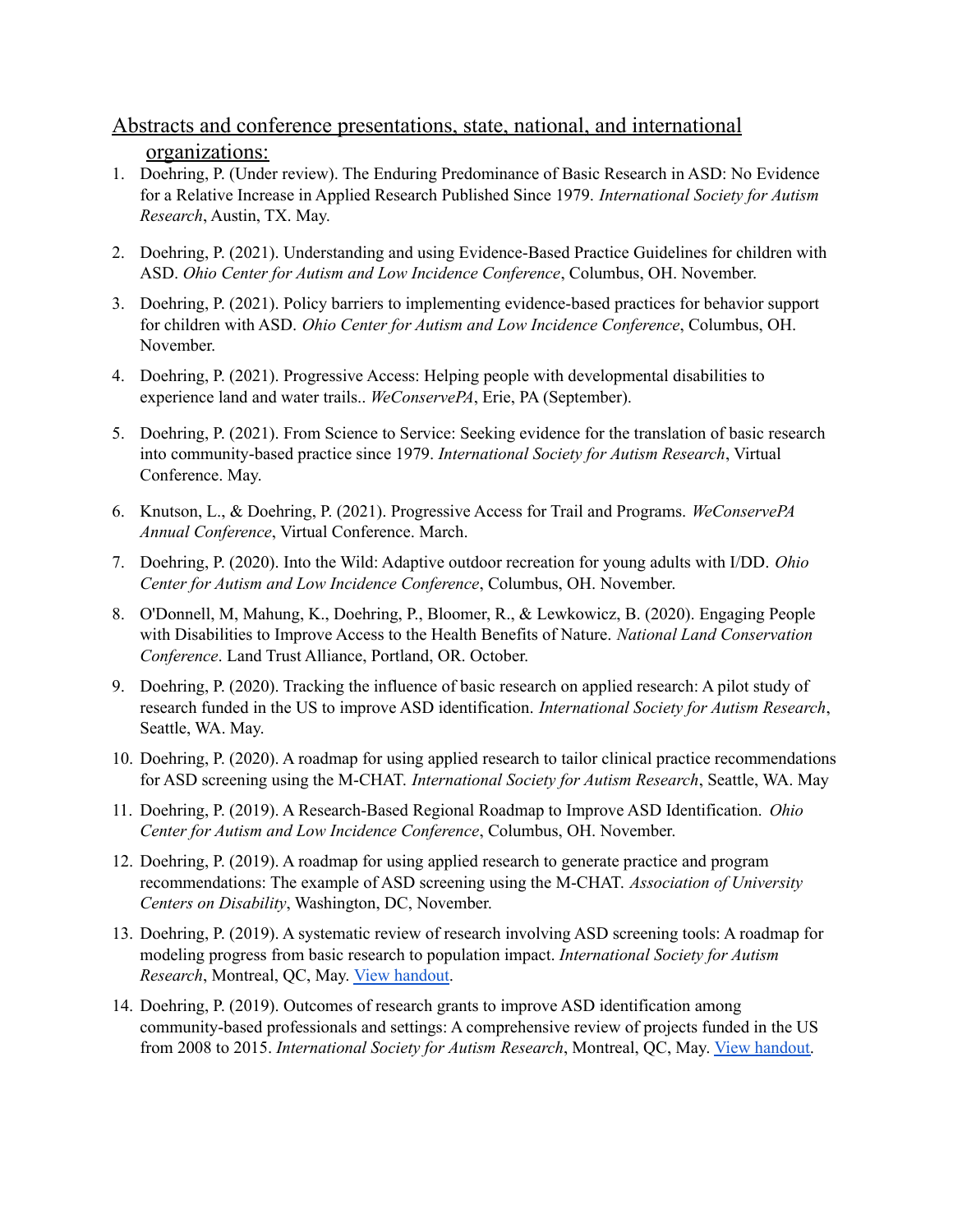## Abstracts and conference presentations, state, national, and international organizations:

- 1. Doehring, P. (Under review). The Enduring Predominance of Basic Research in ASD: No Evidence for a Relative Increase in Applied Research Published Since 1979. *International Society for Autism Research*, Austin, TX. May.
- 2. Doehring, P. (2021). Understanding and using Evidence-Based Practice Guidelines for children with ASD. *Ohio Center for Autism and Low Incidence Conference*, Columbus, OH. November.
- 3. Doehring, P. (2021). Policy barriers to implementing evidence-based practices for behavior support for children with ASD. *Ohio Center for Autism and Low Incidence Conference*, Columbus, OH. November.
- 4. Doehring, P. (2021). Progressive Access: Helping people with developmental disabilities to experience land and water trails.. *WeConservePA*, Erie, PA (September).
- 5. Doehring, P. (2021). From Science to Service: Seeking evidence for the translation of basic research into community-based practice since 1979. *International Society for Autism Research*, Virtual Conference. May.
- 6. Knutson, L., & Doehring, P. (2021). Progressive Access for Trail and Programs. *WeConservePA Annual Conference*, Virtual Conference. March.
- 7. Doehring, P. (2020). Into the Wild: Adaptive outdoor recreation for young adults with I/DD. *Ohio Center for Autism and Low Incidence Conference*, Columbus, OH. November.
- 8. O'Donnell, M, Mahung, K., Doehring, P., Bloomer, R., & Lewkowicz, B. (2020). Engaging People with Disabilities to Improve Access to the Health Benefits of Nature. *National Land Conservation Conference*. Land Trust Alliance, Portland, OR. October.
- 9. Doehring, P. (2020). Tracking the influence of basic research on applied research: A pilot study of research funded in the US to improve ASD identification. *International Society for Autism Research*, Seattle, WA. May.
- 10. Doehring, P. (2020). A roadmap for using applied research to tailor clinical practice recommendations for ASD screening using the M-CHAT. *International Society for Autism Research*, Seattle, WA. May
- 11. Doehring, P. (2019). A Research-Based Regional Roadmap to Improve ASD Identification. *Ohio Center for Autism and Low Incidence Conference*, Columbus, OH. November.
- 12. Doehring, P. (2019). A roadmap for using applied research to generate practice and program recommendations: The example of ASD screening using the M-CHAT. *Association of University Centers on Disability*, Washington, DC, November.
- 13. Doehring, P. (2019). A systematic review of research involving ASD screening tools: A roadmap for modeling progress from basic research to population impact. *International Society for Autism Research*, Montreal, QC, May. View [handout.](http://www.asdroadmap.org/presentation-handouts-since-2015.html#imfar-2019-chat-pdf)
- 14. Doehring, P. (2019). Outcomes of research grants to improve ASD identification among community-based professionals and settings: A comprehensive review of projects funded in the US from 2008 to 2015. *International Society for Autism Research*, Montreal, QC, May. View [handout.](http://www.asdroadmap.org/presentation-handouts-since-2015.html#imfar-2019-roadmap-pdf)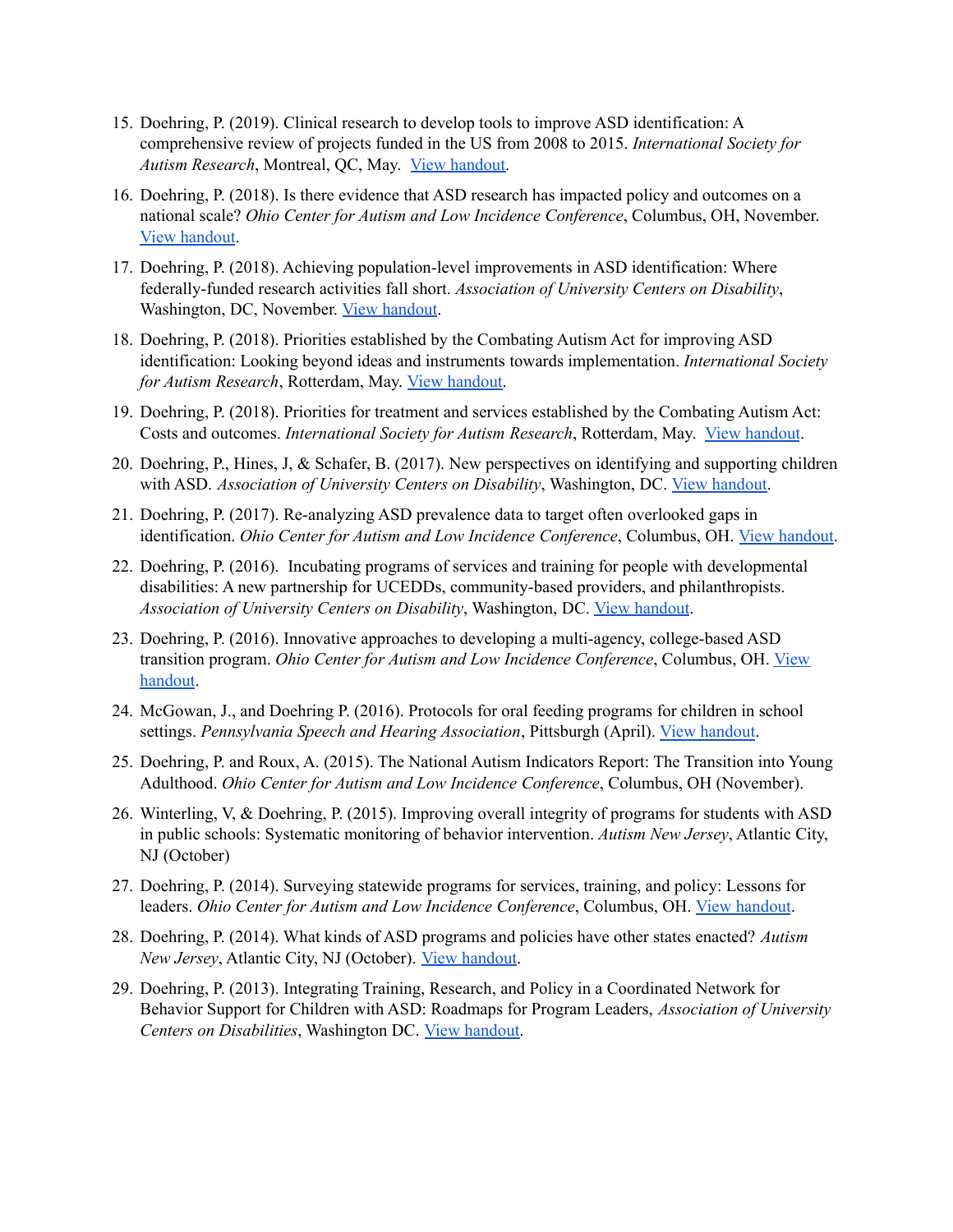- 15. Doehring, P. (2019). Clinical research to develop tools to improve ASD identification: A comprehensive review of projects funded in the US from 2008 to 2015. *International Society for Autism Research*, Montreal, QC, May. View [handout.](http://www.asdroadmap.org/presentation-handouts-since-2015.html#imfar-2019-roadmap-pdf)
- 16. Doehring, P. (2018). Is there evidence that ASD research has impacted policy and outcomes on a national scale? *Ohio Center for Autism and Low Incidence Conference*, Columbus, OH, November. View [handout](http://www.asdroadmap.org/presentation-handouts.html#ocali-2018-pdf).
- 17. Doehring, P. (2018). Achieving population-level improvements in ASD identification: Where federally-funded research activities fall short. *Association of University Centers on Disability*, Washington, DC, November. View [handout](http://www.asdroadmap.org/presentation-handouts.html#aucd-2018-pdf).
- 18. Doehring, P. (2018). Priorities established by the Combating Autism Act for improving ASD identification: Looking beyond ideas and instruments towards implementation. *International Society for Autism Research*, Rotterdam, May. View [handout.](http://www.asdroadmap.org/presentation-handouts.html#imfar-2018-identification-pdf)
- 19. Doehring, P. (2018). Priorities for treatment and services established by the Combating Autism Act: Costs and outcomes. *International Society for Autism Research*, Rotterdam, May. View [handout](http://www.asdroadmap.org/presentation-handouts.html#imfar-2018-intervention-pdf).
- 20. Doehring, P., Hines, J, & Schafer, B. (2017). New perspectives on identifying and supporting children with ASD. *Association of University Centers on Disability*, Washington, DC. View [handout](http://www.asdroadmap.org/presentation-handouts.html#aucd-2017-pdf).
- 21. Doehring, P. (2017). Re-analyzing ASD prevalence data to target often overlooked gaps in identification. *Ohio Center for Autism and Low Incidence Conference*, Columbus, OH. View [handout.](http://www.asdroadmap.org/presentation-handouts.html#ocali-2017-pdf)
- 22. Doehring, P. (2016). Incubating programs of services and training for people with developmental disabilities: A new partnership for UCEDDs, community-based providers, and philanthropists. *Association of University Centers on Disability*, Washington, DC. View [handout](http://www.asdroadmap.org/presentation-handouts.html#aucd-2016-pdf).
- 23. Doehring, P. (2016). Innovative approaches to developing a multi-agency, college-based ASD transition program. *Ohio Center for Autism and Low Incidence Conference*, Columbus, OH. [View](http://www.asdroadmap.org/presentation-handouts.html#ocali-2016-pdf) [handout](http://www.asdroadmap.org/presentation-handouts.html#ocali-2016-pdf).
- 24. McGowan, J., and Doehring P. (2016). Protocols for oral feeding programs for children in school settings. *Pennsylvania Speech and Hearing Association*, Pittsburgh (April). View [handout](http://www.asdroadmap.org/presentation-handouts.html#psha-2016-pdf).
- 25. Doehring, P. and Roux, A. (2015). The National Autism Indicators Report: The Transition into Young Adulthood. *Ohio Center for Autism and Low Incidence Conference*, Columbus, OH (November).
- 26. Winterling, V, & Doehring, P. (2015). Improving overall integrity of programs for students with ASD in public schools: Systematic monitoring of behavior intervention. *Autism New Jersey*, Atlantic City, NJ (October)
- 27. Doehring, P. (2014). Surveying statewide programs for services, training, and policy: Lessons for leaders. *Ohio Center for Autism and Low Incidence Conference*, Columbus, OH. View [handout](http://www.asdroadmap.org/presentation-handouts.html#ocali-2014-pdf).
- 28. Doehring, P. (2014). What kinds of ASD programs and policies have other states enacted? *Autism New Jersey*, Atlantic City, NJ (October). View [handout](http://www.asdroadmap.org/presentation-handouts.html#autismnj-2014-pdf).
- 29. Doehring, P. (2013). Integrating Training, Research, and Policy in a Coordinated Network for Behavior Support for Children with ASD: Roadmaps for Program Leaders, *Association of University Centers on Disabilities*, Washington DC. View [handout.](http://www.asdroadmap.org/presentation-handouts.html#aucd-2013-pdf)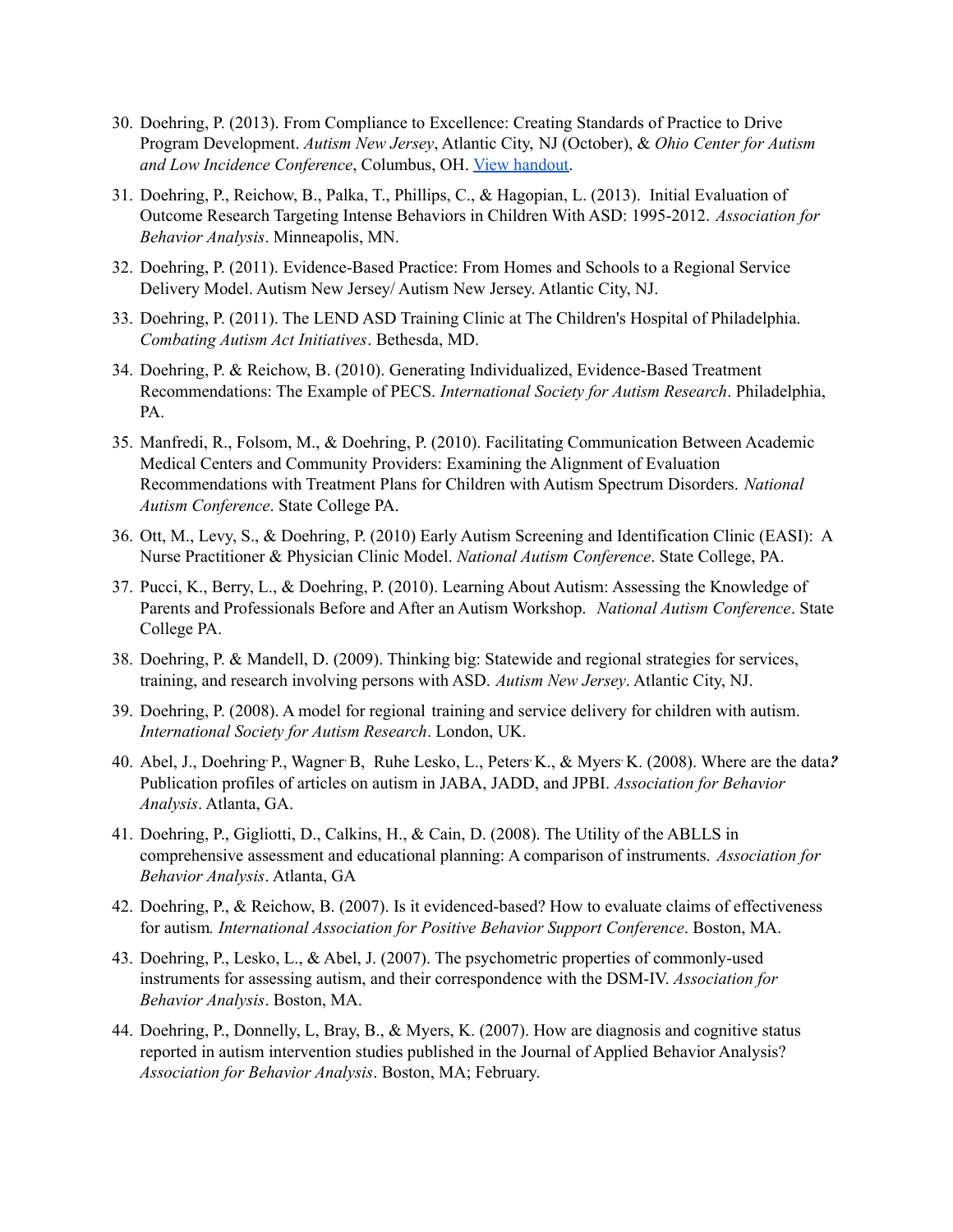- 30. Doehring, P. (2013). From Compliance to Excellence: Creating Standards of Practice to Drive Program Development. *Autism New Jersey*, Atlantic City, NJ (October), & *Ohio Center for Autism and Low Incidence Conference*, Columbus, OH. View [handout.](http://www.asdroadmap.org/presentation-handouts.html#ocali-2013-pdf)
- 31. Doehring, P., Reichow, B., Palka, T., Phillips, C., & Hagopian, L. (2013). Initial Evaluation of Outcome Research Targeting Intense Behaviors in Children With ASD: 1995-2012. *Association for Behavior Analysis*. Minneapolis, MN.
- 32. Doehring, P. (2011). Evidence-Based Practice: From Homes and Schools to a Regional Service Delivery Model. Autism New Jersey/ Autism New Jersey. Atlantic City, NJ.
- 33. Doehring, P. (2011). The LEND ASD Training Clinic at The Children's Hospital of Philadelphia. *Combating Autism Act Initiatives*. Bethesda, MD.
- 34. Doehring, P. & Reichow, B. (2010). Generating Individualized, Evidence-Based Treatment Recommendations: The Example of PECS. *International Society for Autism Research*. Philadelphia, PA.
- 35. Manfredi, R., Folsom, M., & Doehring, P. (2010). Facilitating Communication Between Academic Medical Centers and Community Providers: Examining the Alignment of Evaluation Recommendations with Treatment Plans for Children with Autism Spectrum Disorders. *National Autism Conference*. State College PA.
- 36. Ott, M., Levy, S., & Doehring, P. (2010) Early Autism Screening and Identification Clinic (EASI): A Nurse Practitioner & Physician Clinic Model. *National Autism Conference*. State College, PA.
- 37. Pucci, K., Berry, L., & Doehring, P. (2010). Learning About Autism: Assessing the Knowledge of Parents and Professionals Before and After an Autism Workshop. *National Autism Conference*. State College PA.
- 38. Doehring, P. & Mandell, D. (2009). Thinking big: Statewide and regional strategies for services, training, and research involving persons with ASD. *Autism New Jersey*. Atlantic City, NJ.
- 39. Doehring, P. (2008). A model for regional training and service delivery for children with autism. *International Society for Autism Research*. London, UK.
- 40. Abel, J., Doehring P., Wagner B, Ruhe Lesko, L., Peters K., & Myers K. (2008). Where are the data? Publication profiles of articles on autism in JABA, JADD, and JPBI. *Association for Behavior Analysis*. Atlanta, GA.
- 41. Doehring, P., Gigliotti, D., Calkins, H., & Cain, D. (2008). The Utility of the ABLLS in comprehensive assessment and educational planning: A comparison of instruments. *Association for Behavior Analysis*. Atlanta, GA
- 42. Doehring, P., & Reichow, B. (2007). Is it evidenced-based? How to evaluate claims of effectiveness for autism*. International Association for Positive Behavior Support Conference*. Boston, MA.
- 43. Doehring, P., Lesko, L., & Abel, J. (2007). The psychometric properties of commonly-used instruments for assessing autism, and their correspondence with the DSM-IV. *Association for Behavior Analysis*. Boston, MA.
- 44. Doehring, P., Donnelly, L, Bray, B., & Myers, K. (2007). How are diagnosis and cognitive status reported in autism intervention studies published in the Journal of Applied Behavior Analysis? *Association for Behavior Analysis*. Boston, MA; February.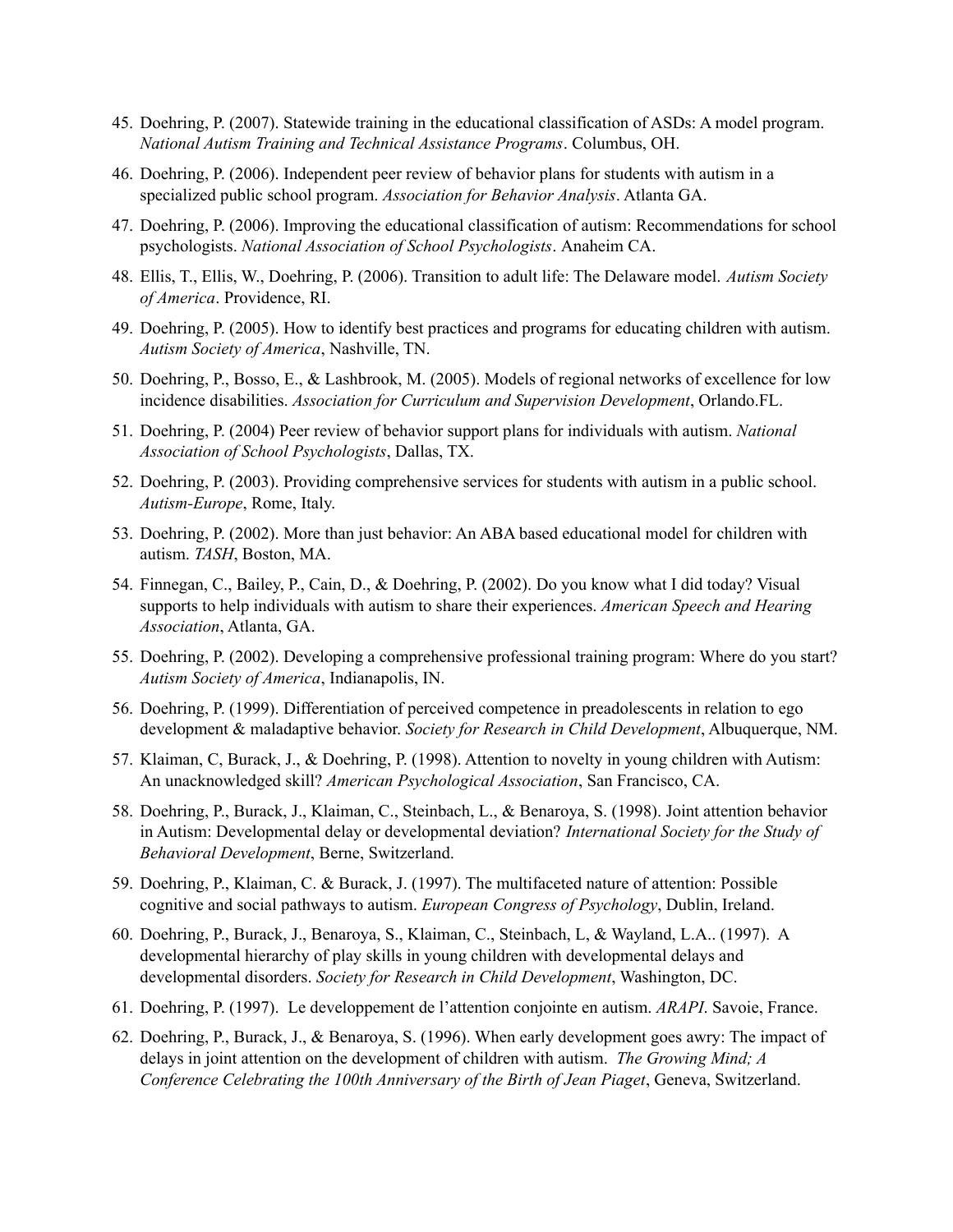- 45. Doehring, P. (2007). Statewide training in the educational classification of ASDs: A model program. *National Autism Training and Technical Assistance Programs*. Columbus, OH.
- 46. Doehring, P. (2006). Independent peer review of behavior plans for students with autism in a specialized public school program. *Association for Behavior Analysis*. Atlanta GA.
- 47. Doehring, P. (2006). Improving the educational classification of autism: Recommendations for school psychologists. *National Association of School Psychologists*. Anaheim CA.
- 48. Ellis, T., Ellis, W., Doehring, P. (2006). Transition to adult life: The Delaware model. *Autism Society of America*. Providence, RI.
- 49. Doehring, P. (2005). How to identify best practices and programs for educating children with autism. *Autism Society of America*, Nashville, TN.
- 50. Doehring, P., Bosso, E., & Lashbrook, M. (2005). Models of regional networks of excellence for low incidence disabilities. *Association for Curriculum and Supervision Development*, Orlando.FL.
- 51. Doehring, P. (2004) Peer review of behavior support plans for individuals with autism. *National Association of School Psychologists*, Dallas, TX.
- 52. Doehring, P. (2003). Providing comprehensive services for students with autism in a public school. *Autism-Europe*, Rome, Italy.
- 53. Doehring, P. (2002). More than just behavior: An ABA based educational model for children with autism. *TASH*, Boston, MA.
- 54. Finnegan, C., Bailey, P., Cain, D., & Doehring, P. (2002). Do you know what I did today? Visual supports to help individuals with autism to share their experiences. *American Speech and Hearing Association*, Atlanta, GA.
- 55. Doehring, P. (2002). Developing a comprehensive professional training program: Where do you start? *Autism Society of America*, Indianapolis, IN.
- 56. Doehring, P. (1999). Differentiation of perceived competence in preadolescents in relation to ego development & maladaptive behavior. *Society for Research in Child Development*, Albuquerque, NM.
- 57. Klaiman, C, Burack, J., & Doehring, P. (1998). Attention to novelty in young children with Autism: An unacknowledged skill? *American Psychological Association*, San Francisco, CA.
- 58. Doehring, P., Burack, J., Klaiman, C., Steinbach, L., & Benaroya, S. (1998). Joint attention behavior in Autism: Developmental delay or developmental deviation? *International Society for the Study of Behavioral Development*, Berne, Switzerland.
- 59. Doehring, P., Klaiman, C. & Burack, J. (1997). The multifaceted nature of attention: Possible cognitive and social pathways to autism. *European Congress of Psychology*, Dublin, Ireland.
- 60. Doehring, P., Burack, J., Benaroya, S., Klaiman, C., Steinbach, L, & Wayland, L.A.. (1997). A developmental hierarchy of play skills in young children with developmental delays and developmental disorders. *Society for Research in Child Development*, Washington, DC.
- 61. Doehring, P. (1997). Le developpement de l'attention conjointe en autism. *ARAPI*. Savoie, France.
- 62. Doehring, P., Burack, J., & Benaroya, S. (1996). When early development goes awry: The impact of delays in joint attention on the development of children with autism. *The Growing Mind; A Conference Celebrating the 100th Anniversary of the Birth of Jean Piaget*, Geneva, Switzerland.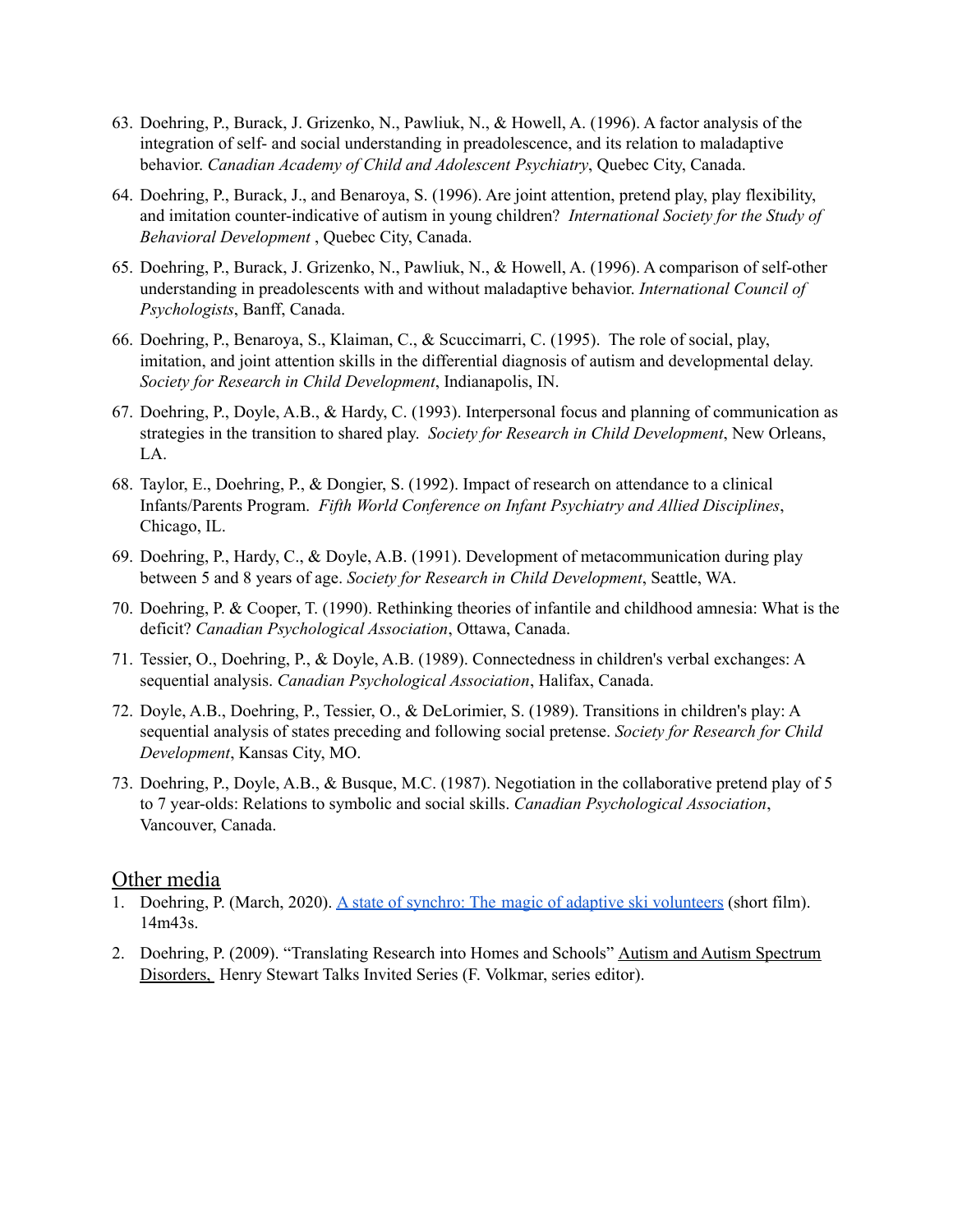- 63. Doehring, P., Burack, J. Grizenko, N., Pawliuk, N., & Howell, A. (1996). A factor analysis of the integration of self- and social understanding in preadolescence, and its relation to maladaptive behavior. *Canadian Academy of Child and Adolescent Psychiatry*, Quebec City, Canada.
- 64. Doehring, P., Burack, J., and Benaroya, S. (1996). Are joint attention, pretend play, play flexibility, and imitation counter-indicative of autism in young children? *International Society for the Study of Behavioral Development* , Quebec City, Canada.
- 65. Doehring, P., Burack, J. Grizenko, N., Pawliuk, N., & Howell, A. (1996). A comparison of self-other understanding in preadolescents with and without maladaptive behavior. *International Council of Psychologists*, Banff, Canada.
- 66. Doehring, P., Benaroya, S., Klaiman, C., & Scuccimarri, C. (1995). The role of social, play, imitation, and joint attention skills in the differential diagnosis of autism and developmental delay. *Society for Research in Child Development*, Indianapolis, IN.
- 67. Doehring, P., Doyle, A.B., & Hardy, C. (1993). Interpersonal focus and planning of communication as strategies in the transition to shared play. *Society for Research in Child Development*, New Orleans, LA.
- 68. Taylor, E., Doehring, P., & Dongier, S. (1992). Impact of research on attendance to a clinical Infants/Parents Program. *Fifth World Conference on Infant Psychiatry and Allied Disciplines*, Chicago, IL.
- 69. Doehring, P., Hardy, C., & Doyle, A.B. (1991). Development of metacommunication during play between 5 and 8 years of age. *Society for Research in Child Development*, Seattle, WA.
- 70. Doehring, P. & Cooper, T. (1990). Rethinking theories of infantile and childhood amnesia: What is the deficit? *Canadian Psychological Association*, Ottawa, Canada.
- 71. Tessier, O., Doehring, P., & Doyle, A.B. (1989). Connectedness in children's verbal exchanges: A sequential analysis. *Canadian Psychological Association*, Halifax, Canada.
- 72. Doyle, A.B., Doehring, P., Tessier, O., & DeLorimier, S. (1989). Transitions in children's play: A sequential analysis of states preceding and following social pretense. *Society for Research for Child Development*, Kansas City, MO.
- 73. Doehring, P., Doyle, A.B., & Busque, M.C. (1987). Negotiation in the collaborative pretend play of 5 to 7 year-olds: Relations to symbolic and social skills. *Canadian Psychological Association*, Vancouver, Canada.

#### Other media

- 1. Doehring, P. (March, 2020). A state of synchro: The magic of adaptive ski [volunteers](https://www.youtube.com/watch?v=ThvmALKT1PU&t=7s) (short film). 14m43s.
- 2. Doehring, P. (2009). "Translating Research into Homes and Schools" Autism and Autism Spectrum Disorders, Henry Stewart Talks Invited Series (F. Volkmar, series editor).